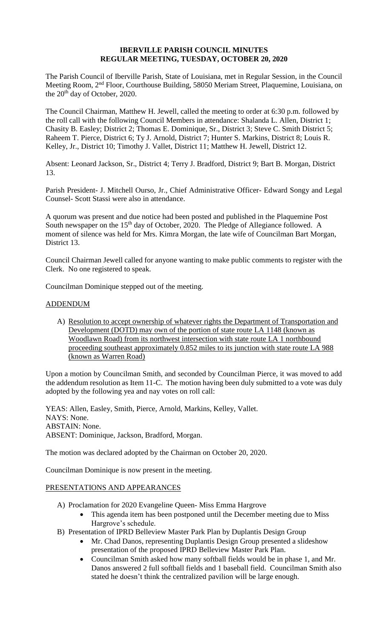### **IBERVILLE PARISH COUNCIL MINUTES REGULAR MEETING, TUESDAY, OCTOBER 20, 2020**

The Parish Council of Iberville Parish, State of Louisiana, met in Regular Session, in the Council Meeting Room, 2nd Floor, Courthouse Building, 58050 Meriam Street, Plaquemine, Louisiana, on the 20<sup>th</sup> day of October, 2020.

The Council Chairman, Matthew H. Jewell, called the meeting to order at 6:30 p.m. followed by the roll call with the following Council Members in attendance: Shalanda L. Allen, District 1; Chasity B. Easley; District 2; Thomas E. Dominique, Sr., District 3; Steve C. Smith District 5; Raheem T. Pierce, District 6; Ty J. Arnold, District 7; Hunter S. Markins, District 8; Louis R. Kelley, Jr., District 10; Timothy J. Vallet, District 11; Matthew H. Jewell, District 12.

Absent: Leonard Jackson, Sr., District 4; Terry J. Bradford, District 9; Bart B. Morgan, District 13.

Parish President- J. Mitchell Ourso, Jr., Chief Administrative Officer- Edward Songy and Legal Counsel- Scott Stassi were also in attendance.

A quorum was present and due notice had been posted and published in the Plaquemine Post South newspaper on the 15<sup>th</sup> day of October, 2020. The Pledge of Allegiance followed. A moment of silence was held for Mrs. Kimra Morgan, the late wife of Councilman Bart Morgan, District 13.

Council Chairman Jewell called for anyone wanting to make public comments to register with the Clerk. No one registered to speak.

Councilman Dominique stepped out of the meeting.

### ADDENDUM

A) Resolution to accept ownership of whatever rights the Department of Transportation and Development (DOTD) may own of the portion of state route LA 1148 (known as Woodlawn Road) from its northwest intersection with state route LA 1 northbound proceeding southeast approximately 0.852 miles to its junction with state route LA 988 (known as Warren Road)

Upon a motion by Councilman Smith, and seconded by Councilman Pierce, it was moved to add the addendum resolution as Item 11-C. The motion having been duly submitted to a vote was duly adopted by the following yea and nay votes on roll call:

YEAS: Allen, Easley, Smith, Pierce, Arnold, Markins, Kelley, Vallet. NAYS: None. ABSTAIN: None. ABSENT: Dominique, Jackson, Bradford, Morgan.

The motion was declared adopted by the Chairman on October 20, 2020.

Councilman Dominique is now present in the meeting.

### PRESENTATIONS AND APPEARANCES

- A) Proclamation for 2020 Evangeline Queen- Miss Emma Hargrove
	- This agenda item has been postponed until the December meeting due to Miss Hargrove's schedule.
- B) Presentation of IPRD Belleview Master Park Plan by Duplantis Design Group
	- Mr. Chad Danos, representing Duplantis Design Group presented a slideshow presentation of the proposed IPRD Belleview Master Park Plan.
	- Councilman Smith asked how many softball fields would be in phase 1, and Mr. Danos answered 2 full softball fields and 1 baseball field. Councilman Smith also stated he doesn't think the centralized pavilion will be large enough.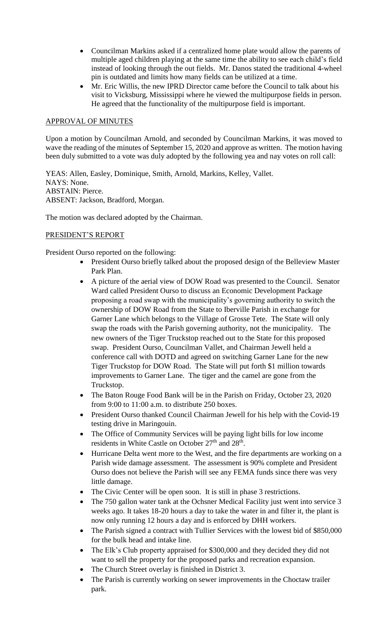- Councilman Markins asked if a centralized home plate would allow the parents of multiple aged children playing at the same time the ability to see each child's field instead of looking through the out fields. Mr. Danos stated the traditional 4-wheel pin is outdated and limits how many fields can be utilized at a time.
- Mr. Eric Willis, the new IPRD Director came before the Council to talk about his visit to Vicksburg, Mississippi where he viewed the multipurpose fields in person. He agreed that the functionality of the multipurpose field is important.

## APPROVAL OF MINUTES

Upon a motion by Councilman Arnold, and seconded by Councilman Markins, it was moved to wave the reading of the minutes of September 15, 2020 and approve as written. The motion having been duly submitted to a vote was duly adopted by the following yea and nay votes on roll call:

YEAS: Allen, Easley, Dominique, Smith, Arnold, Markins, Kelley, Vallet. NAYS: None. ABSTAIN: Pierce. ABSENT: Jackson, Bradford, Morgan.

The motion was declared adopted by the Chairman.

# PRESIDENT'S REPORT

President Ourso reported on the following:

- President Ourso briefly talked about the proposed design of the Belleview Master Park Plan.
- A picture of the aerial view of DOW Road was presented to the Council. Senator Ward called President Ourso to discuss an Economic Development Package proposing a road swap with the municipality's governing authority to switch the ownership of DOW Road from the State to Iberville Parish in exchange for Garner Lane which belongs to the Village of Grosse Tete. The State will only swap the roads with the Parish governing authority, not the municipality. The new owners of the Tiger Truckstop reached out to the State for this proposed swap. President Ourso, Councilman Vallet, and Chairman Jewell held a conference call with DOTD and agreed on switching Garner Lane for the new Tiger Truckstop for DOW Road. The State will put forth \$1 million towards improvements to Garner Lane. The tiger and the camel are gone from the Truckstop.
- The Baton Rouge Food Bank will be in the Parish on Friday, October 23, 2020 from 9:00 to 11:00 a.m. to distribute 250 boxes.
- President Ourso thanked Council Chairman Jewell for his help with the Covid-19 testing drive in Maringouin.
- The Office of Community Services will be paying light bills for low income residents in White Castle on October 27<sup>th</sup> and 28<sup>th</sup>.
- Hurricane Delta went more to the West, and the fire departments are working on a Parish wide damage assessment. The assessment is 90% complete and President Ourso does not believe the Parish will see any FEMA funds since there was very little damage.
- The Civic Center will be open soon. It is still in phase 3 restrictions.
- The 750 gallon water tank at the Ochsner Medical Facility just went into service 3 weeks ago. It takes 18-20 hours a day to take the water in and filter it, the plant is now only running 12 hours a day and is enforced by DHH workers.
- The Parish signed a contract with Tullier Services with the lowest bid of \$850,000 for the bulk head and intake line.
- The Elk's Club property appraised for \$300,000 and they decided they did not want to sell the property for the proposed parks and recreation expansion.
- The Church Street overlay is finished in District 3.
- The Parish is currently working on sewer improvements in the Choctaw trailer park.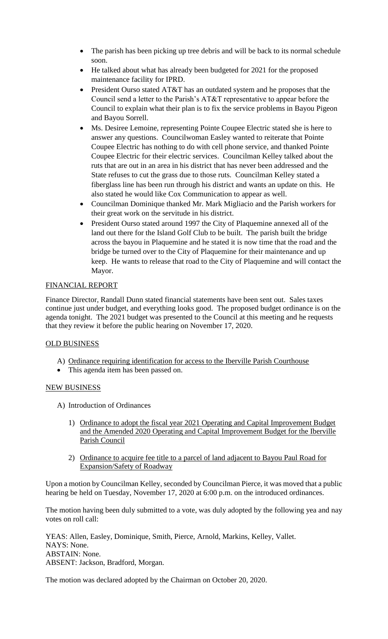- The parish has been picking up tree debris and will be back to its normal schedule soon.
- He talked about what has already been budgeted for 2021 for the proposed maintenance facility for IPRD.
- President Ourso stated AT&T has an outdated system and he proposes that the Council send a letter to the Parish's AT&T representative to appear before the Council to explain what their plan is to fix the service problems in Bayou Pigeon and Bayou Sorrell.
- Ms. Desiree Lemoine, representing Pointe Coupee Electric stated she is here to answer any questions. Councilwoman Easley wanted to reiterate that Pointe Coupee Electric has nothing to do with cell phone service, and thanked Pointe Coupee Electric for their electric services. Councilman Kelley talked about the ruts that are out in an area in his district that has never been addressed and the State refuses to cut the grass due to those ruts. Councilman Kelley stated a fiberglass line has been run through his district and wants an update on this. He also stated he would like Cox Communication to appear as well.
- Councilman Dominique thanked Mr. Mark Migliacio and the Parish workers for their great work on the servitude in his district.
- President Ourso stated around 1997 the City of Plaquemine annexed all of the land out there for the Island Golf Club to be built. The parish built the bridge across the bayou in Plaquemine and he stated it is now time that the road and the bridge be turned over to the City of Plaquemine for their maintenance and up keep. He wants to release that road to the City of Plaquemine and will contact the Mayor.

# FINANCIAL REPORT

Finance Director, Randall Dunn stated financial statements have been sent out. Sales taxes continue just under budget, and everything looks good. The proposed budget ordinance is on the agenda tonight. The 2021 budget was presented to the Council at this meeting and he requests that they review it before the public hearing on November 17, 2020.

# OLD BUSINESS

- A) Ordinance requiring identification for access to the Iberville Parish Courthouse
- This agenda item has been passed on.

# NEW BUSINESS

- A) Introduction of Ordinances
	- 1) Ordinance to adopt the fiscal year 2021 Operating and Capital Improvement Budget and the Amended 2020 Operating and Capital Improvement Budget for the Iberville Parish Council
	- 2) Ordinance to acquire fee title to a parcel of land adjacent to Bayou Paul Road for Expansion/Safety of Roadway

Upon a motion by Councilman Kelley, seconded by Councilman Pierce, it was moved that a public hearing be held on Tuesday, November 17, 2020 at 6:00 p.m. on the introduced ordinances.

The motion having been duly submitted to a vote, was duly adopted by the following yea and nay votes on roll call:

YEAS: Allen, Easley, Dominique, Smith, Pierce, Arnold, Markins, Kelley, Vallet. NAYS: None. ABSTAIN: None. ABSENT: Jackson, Bradford, Morgan.

The motion was declared adopted by the Chairman on October 20, 2020.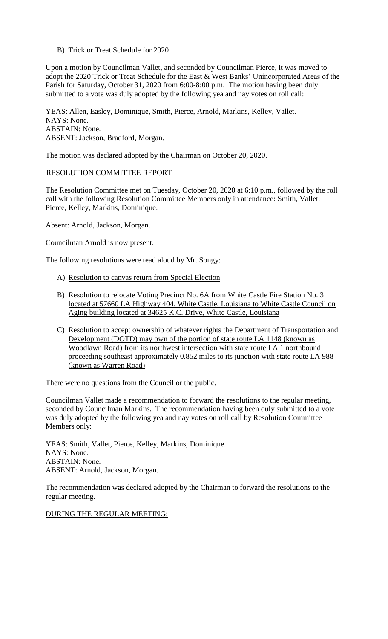B) Trick or Treat Schedule for 2020

Upon a motion by Councilman Vallet, and seconded by Councilman Pierce, it was moved to adopt the 2020 Trick or Treat Schedule for the East & West Banks' Unincorporated Areas of the Parish for Saturday, October 31, 2020 from 6:00-8:00 p.m. The motion having been duly submitted to a vote was duly adopted by the following yea and nay votes on roll call:

YEAS: Allen, Easley, Dominique, Smith, Pierce, Arnold, Markins, Kelley, Vallet. NAYS: None. ABSTAIN: None. ABSENT: Jackson, Bradford, Morgan.

The motion was declared adopted by the Chairman on October 20, 2020.

### RESOLUTION COMMITTEE REPORT

The Resolution Committee met on Tuesday, October 20, 2020 at 6:10 p.m., followed by the roll call with the following Resolution Committee Members only in attendance: Smith, Vallet, Pierce, Kelley, Markins, Dominique.

Absent: Arnold, Jackson, Morgan.

Councilman Arnold is now present.

The following resolutions were read aloud by Mr. Songy:

- A) Resolution to canvas return from Special Election
- B) Resolution to relocate Voting Precinct No. 6A from White Castle Fire Station No. 3 located at 57660 LA Highway 404, White Castle, Louisiana to White Castle Council on Aging building located at 34625 K.C. Drive, White Castle, Louisiana
- C) Resolution to accept ownership of whatever rights the Department of Transportation and Development (DOTD) may own of the portion of state route LA 1148 (known as Woodlawn Road) from its northwest intersection with state route LA 1 northbound proceeding southeast approximately 0.852 miles to its junction with state route LA 988 (known as Warren Road)

There were no questions from the Council or the public.

Councilman Vallet made a recommendation to forward the resolutions to the regular meeting, seconded by Councilman Markins. The recommendation having been duly submitted to a vote was duly adopted by the following yea and nay votes on roll call by Resolution Committee Members only:

YEAS: Smith, Vallet, Pierce, Kelley, Markins, Dominique. NAYS: None. ABSTAIN: None. ABSENT: Arnold, Jackson, Morgan.

The recommendation was declared adopted by the Chairman to forward the resolutions to the regular meeting.

DURING THE REGULAR MEETING: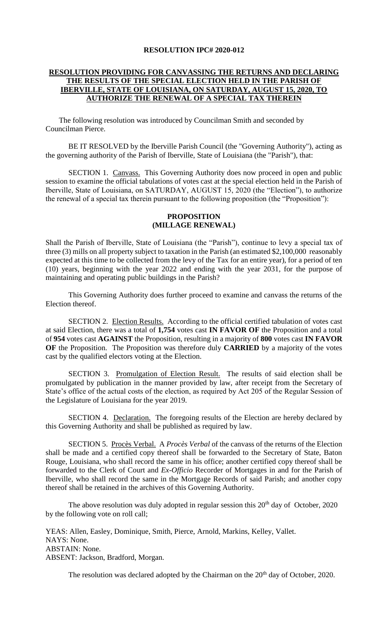#### **RESOLUTION IPC# 2020-012**

## **RESOLUTION PROVIDING FOR CANVASSING THE RETURNS AND DECLARING THE RESULTS OF THE SPECIAL ELECTION HELD IN THE PARISH OF IBERVILLE, STATE OF LOUISIANA, ON SATURDAY, AUGUST 15, 2020, TO AUTHORIZE THE RENEWAL OF A SPECIAL TAX THEREIN**

 The following resolution was introduced by Councilman Smith and seconded by Councilman Pierce.

BE IT RESOLVED by the Iberville Parish Council (the "Governing Authority"), acting as the governing authority of the Parish of Iberville, State of Louisiana (the "Parish"), that:

SECTION 1. Canvass. This Governing Authority does now proceed in open and public session to examine the official tabulations of votes cast at the special election held in the Parish of Iberville, State of Louisiana, on SATURDAY, AUGUST 15, 2020 (the "Election"), to authorize the renewal of a special tax therein pursuant to the following proposition (the "Proposition"):

### **PROPOSITION (MILLAGE RENEWAL)**

Shall the Parish of Iberville, State of Louisiana (the "Parish"), continue to levy a special tax of three (3) mills on all property subject to taxation in the Parish (an estimated \$2,100,000 reasonably expected at this time to be collected from the levy of the Tax for an entire year), for a period of ten (10) years, beginning with the year 2022 and ending with the year 2031, for the purpose of maintaining and operating public buildings in the Parish?

This Governing Authority does further proceed to examine and canvass the returns of the Election thereof.

SECTION 2. Election Results. According to the official certified tabulation of votes cast at said Election, there was a total of **1,754** votes cast **IN FAVOR OF** the Proposition and a total of **954** votes cast **AGAINST** the Proposition, resulting in a majority of **800** votes cast **IN FAVOR OF** the Proposition. The Proposition was therefore duly **CARRIED** by a majority of the votes cast by the qualified electors voting at the Election.

SECTION 3. Promulgation of Election Result. The results of said election shall be promulgated by publication in the manner provided by law, after receipt from the Secretary of State's office of the actual costs of the election, as required by Act 205 of the Regular Session of the Legislature of Louisiana for the year 2019.

SECTION 4. Declaration. The foregoing results of the Election are hereby declared by this Governing Authority and shall be published as required by law.

SECTION 5. Procès Verbal. A *Procès Verbal* of the canvass of the returns of the Election shall be made and a certified copy thereof shall be forwarded to the Secretary of State, Baton Rouge, Louisiana, who shall record the same in his office; another certified copy thereof shall be forwarded to the Clerk of Court and *Ex-Officio* Recorder of Mortgages in and for the Parish of Iberville, who shall record the same in the Mortgage Records of said Parish; and another copy thereof shall be retained in the archives of this Governing Authority.

The above resolution was duly adopted in regular session this  $20<sup>th</sup>$  day of October, 2020 by the following vote on roll call;

YEAS: Allen, Easley, Dominique, Smith, Pierce, Arnold, Markins, Kelley, Vallet. NAYS: None. ABSTAIN: None. ABSENT: Jackson, Bradford, Morgan.

The resolution was declared adopted by the Chairman on the 20<sup>th</sup> day of October, 2020.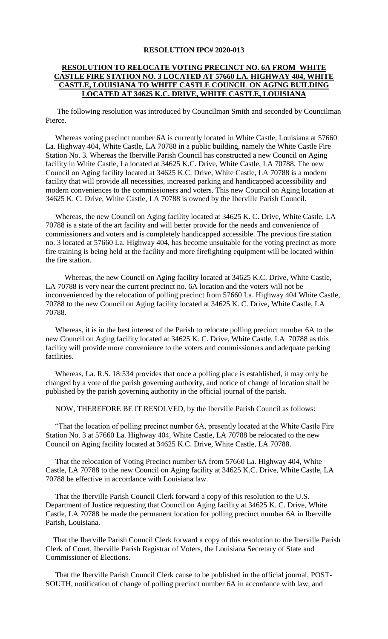#### **RESOLUTION IPC# 2020-013**

## **RESOLUTION TO RELOCATE VOTING PRECINCT NO. 6A FROM WHITE CASTLE FIRE STATION NO. 3 LOCATED AT 57660 LA. HIGHWAY 404, WHITE CASTLE, LOUISIANA TO WHITE CASTLE COUNCIL ON AGING BUILDING LOCATED AT 34625 K.C. DRIVE, WHITE CASTLE, LOUISIANA**

 The following resolution was introduced by Councilman Smith and seconded by Councilman Pierce.

 Whereas voting precinct number 6A is currently located in White Castle, Louisiana at 57660 La. Highway 404, White Castle, LA 70788 in a public building, namely the White Castle Fire Station No. 3. Whereas the Iberville Parish Council has constructed a new Council on Aging facility in White Castle, La located at 34625 K.C. Drive, White Castle, LA 70788. The new Council on Aging facility located at 34625 K.C. Drive, White Castle, LA 70788 is a modern facility that will provide all necessities, increased parking and handicapped accessibility and modern conveniences to the commissioners and voters. This new Council on Aging location at 34625 K. C. Drive, White Castle, LA 70788 is owned by the Iberville Parish Council.

 Whereas, the new Council on Aging facility located at 34625 K. C. Drive, White Castle, LA 70788 is a state of the art facility and will better provide for the needs and convenience of commissioners and voters and is completely handicapped accessible. The previous fire station no. 3 located at 57660 La. Highway 404, has become unsuitable for the voting precinct as more fire training is being held at the facility and more firefighting equipment will be located within the fire station.

 Whereas, the new Council on Aging facility located at 34625 K.C. Drive, White Castle, LA 70788 is very near the current precinct no. 6A location and the voters will not be inconvenienced by the relocation of polling precinct from 57660 La. Highway 404 White Castle, 70788 to the new Council on Aging facility located at 34625 K. C. Drive, White Castle, LA 70788.

 Whereas, it is in the best interest of the Parish to relocate polling precinct number 6A to the new Council on Aging facility located at 34625 K. C. Drive, White Castle, LA 70788 as this facility will provide more convenience to the voters and commissioners and adequate parking facilities.

 Whereas, La. R.S. 18:534 provides that once a polling place is established, it may only be changed by a vote of the parish governing authority, and notice of change of location shall be published by the parish governing authority in the official journal of the parish.

NOW, THEREFORE BE IT RESOLVED, by the Iberville Parish Council as follows:

 "That the location of polling precinct number 6A, presently located at the White Castle Fire Station No. 3 at 57660 La. Highway 404, White Castle, LA 70788 be relocated to the new Council on Aging facility located at 34625 K.C. Drive, White Castle, LA 70788.

 That the relocation of Voting Precinct number 6A from 57660 La. Highway 404, White Castle, LA 70788 to the new Council on Aging facility at 34625 K.C. Drive, White Castle, LA 70788 be effective in accordance with Louisiana law.

 That the Iberville Parish Council Clerk forward a copy of this resolution to the U.S. Department of Justice requesting that Council on Aging facility at 34625 K. C. Drive, White Castle, LA 70788 be made the permanent location for polling precinct number 6A in Iberville Parish, Louisiana.

 That the Iberville Parish Council Clerk forward a copy of this resolution to the Iberville Parish Clerk of Court, Iberville Parish Registrar of Voters, the Louisiana Secretary of State and Commissioner of Elections.

 That the Iberville Parish Council Clerk cause to be published in the official journal, POST-SOUTH, notification of change of polling precinct number 6A in accordance with law, and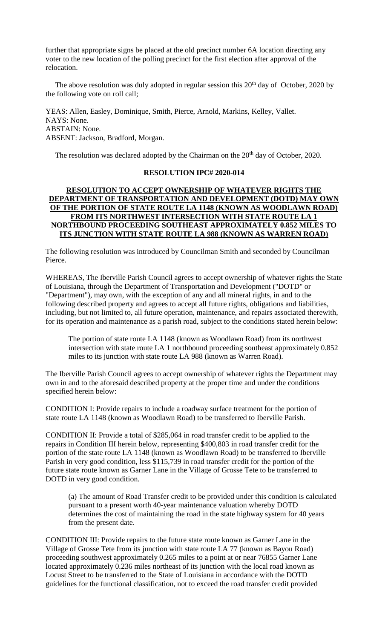further that appropriate signs be placed at the old precinct number 6A location directing any voter to the new location of the polling precinct for the first election after approval of the relocation.

The above resolution was duly adopted in regular session this  $20<sup>th</sup>$  day of October, 2020 by the following vote on roll call;

YEAS: Allen, Easley, Dominique, Smith, Pierce, Arnold, Markins, Kelley, Vallet. NAYS: None. ABSTAIN: None. ABSENT: Jackson, Bradford, Morgan.

The resolution was declared adopted by the Chairman on the  $20<sup>th</sup>$  day of October, 2020.

### **RESOLUTION IPC# 2020-014**

## **RESOLUTION TO ACCEPT OWNERSHIP OF WHATEVER RIGHTS THE DEPARTMENT OF TRANSPORTATION AND DEVELOPMENT (DOTD) MAY OWN OF THE PORTION OF STATE ROUTE LA 1148 (KNOWN AS WOODLAWN ROAD) FROM ITS NORTHWEST INTERSECTION WITH STATE ROUTE LA 1 NORTHBOUND PROCEEDING SOUTHEAST APPROXIMATELY 0.852 MILES TO ITS JUNCTION WITH STATE ROUTE LA 988 (KNOWN AS WARREN ROAD)**

The following resolution was introduced by Councilman Smith and seconded by Councilman Pierce.

WHEREAS, The Iberville Parish Council agrees to accept ownership of whatever rights the State of Louisiana, through the Department of Transportation and Development ("DOTD" or "Department"), may own, with the exception of any and all mineral rights, in and to the following described property and agrees to accept all future rights, obligations and liabilities, including, but not limited to, all future operation, maintenance, and repairs associated therewith, for its operation and maintenance as a parish road, subject to the conditions stated herein below:

The portion of state route LA 1148 (known as Woodlawn Road) from its northwest intersection with state route LA 1 northbound proceeding southeast approximately 0.852 miles to its junction with state route LA 988 (known as Warren Road).

The Iberville Parish Council agrees to accept ownership of whatever rights the Department may own in and to the aforesaid described property at the proper time and under the conditions specified herein below:

CONDITION I: Provide repairs to include a roadway surface treatment for the portion of state route LA 1148 (known as Woodlawn Road) to be transferred to Iberville Parish.

CONDITION II: Provide a total of \$285,064 in road transfer credit to be applied to the repairs in Condition III herein below, representing \$400,803 in road transfer credit for the portion of the state route LA 1148 (known as Woodlawn Road) to be transferred to Iberville Parish in very good condition, less \$115,739 in road transfer credit for the portion of the future state route known as Garner Lane in the Village of Grosse Tete to be transferred to DOTD in very good condition.

(a) The amount of Road Transfer credit to be provided under this condition is calculated pursuant to a present worth 40-year maintenance valuation whereby DOTD determines the cost of maintaining the road in the state highway system for 40 years from the present date.

CONDITION III: Provide repairs to the future state route known as Garner Lane in the Village of Grosse Tete from its junction with state route LA 77 (known as Bayou Road) proceeding southwest approximately 0.265 miles to a point at or near 76855 Garner Lane located approximately 0.236 miles northeast of its junction with the local road known as Locust Street to be transferred to the State of Louisiana in accordance with the DOTD guidelines for the functional classification, not to exceed the road transfer credit provided